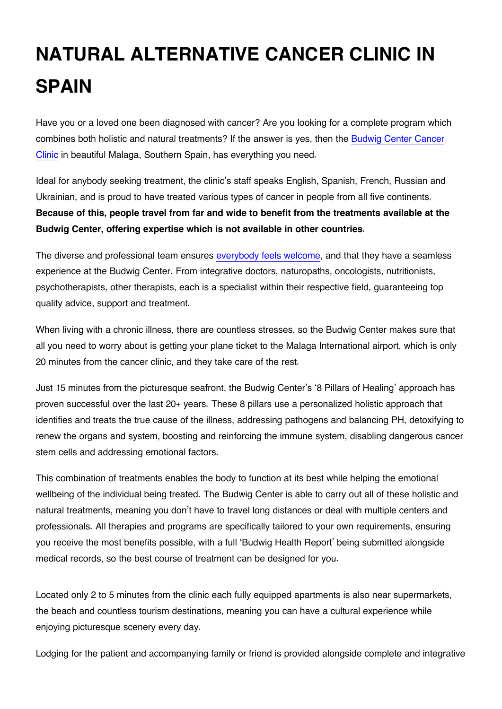## **NATURAL ALTERNATIVE CANCER CLINIC IN SPAIN**

Have you or a loved one been diagnosed with cancer? Are you looking for a complete program which combines both holistic and natural treatments? If the answer is yes, then the [Budwig Center Cancer](http://www.budwigcenter.com/) [Clinic](http://www.budwigcenter.com/) in beautiful Malaga, Southern Spain, has everything you need.

Ideal for anybody seeking treatment, the clinic's staff speaks English, Spanish, French, Russian and Ukrainian, and is proud to have treated various types of cancer in people from all five continents. **Because of this, people travel from far and wide to benefit from the treatments available at the Budwig Center, offering expertise which is not available in other countries.**

The diverse and professional team ensures [everybody feels welcome](https://budwigcenter.com/our-patients-comments/), and that they have a seamless experience at the Budwig Center. From integrative doctors, naturopaths, oncologists, nutritionists, psychotherapists, other therapists, each is a specialist within their respective field, guaranteeing top quality advice, support and treatment.

When living with a chronic illness, there are countless stresses, so the Budwig Center makes sure that all you need to worry about is getting your plane ticket to the Malaga International airport, which is only 20 minutes from the cancer clinic, and they take care of the rest.

Just 15 minutes from the picturesque seafront, the Budwig Center's '8 Pillars of Healing' approach has proven successful over the last 20+ years. These 8 pillars use a personalized holistic approach that identifies and treats the true cause of the illness, addressing pathogens and balancing PH, detoxifying to renew the organs and system, boosting and reinforcing the immune system, disabling dangerous cancer stem cells and addressing emotional factors.

This combination of treatments enables the body to function at its best while helping the emotional wellbeing of the individual being treated. The Budwig Center is able to carry out all of these holistic and natural treatments, meaning you don't have to travel long distances or deal with multiple centers and professionals. All therapies and programs are specifically tailored to your own requirements, ensuring you receive the most benefits possible, with a full 'Budwig Health Report' being submitted alongside medical records, so the best course of treatment can be designed for you.

Located only 2 to 5 minutes from the clinic each fully equipped apartments is also near supermarkets, the beach and countless tourism destinations, meaning you can have a cultural experience while enjoying picturesque scenery every day.

Lodging for the patient and accompanying family or friend is provided alongside complete and integrative